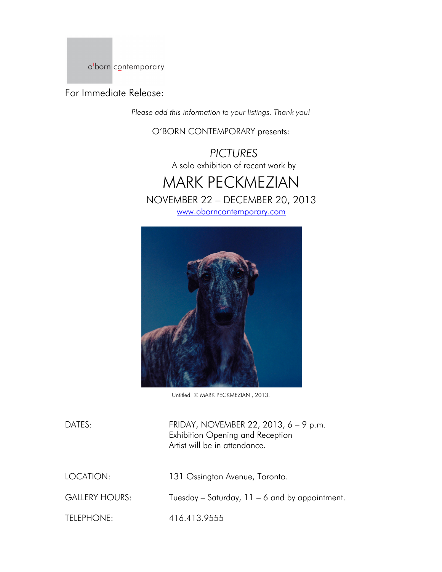o'born contemporary

For Immediate Release:

*Please add this information to your listings. Thank you!*

O'BORN CONTEMPORARY presents:

*PICTURES* A solo exhibition of recent work by





Untitled © MARK PECKMEZIAN , 2013.

DATES: FRIDAY, NOVEMBER 22, 2013, 6 – 9 p.m. Exhibition Opening and Reception Artist will be in attendance. LOCATION: 131 Ossington Avenue, Toronto. GALLERY HOURS: Tuesday – Saturday, 11 – 6 and by appointment. TELEPHONE: 416.413.9555